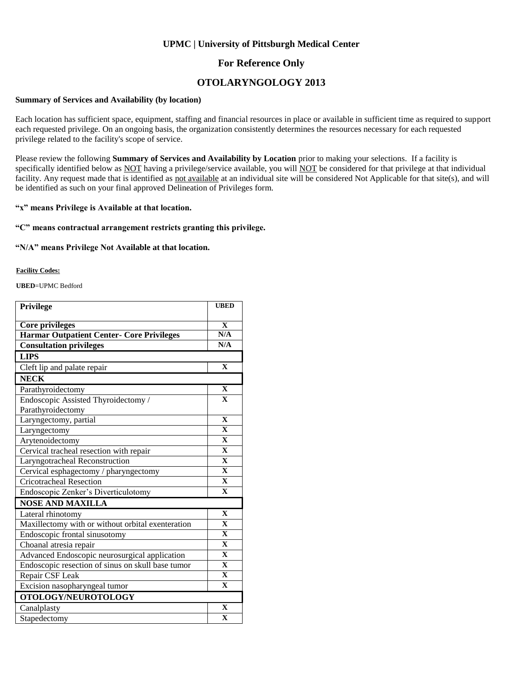### **UPMC | University of Pittsburgh Medical Center**

## **For Reference Only**

## **OTOLARYNGOLOGY 2013**

#### **Summary of Services and Availability (by location)**

Each location has sufficient space, equipment, staffing and financial resources in place or available in sufficient time as required to support each requested privilege. On an ongoing basis, the organization consistently determines the resources necessary for each requested privilege related to the facility's scope of service.

Please review the following **Summary of Services and Availability by Location** prior to making your selections. If a facility is specifically identified below as NOT having a privilege/service available, you will NOT be considered for that privilege at that individual facility. Any request made that is identified as not available at an individual site will be considered Not Applicable for that site(s), and will be identified as such on your final approved Delineation of Privileges form.

### **"x" means Privilege is Available at that location.**

### **"C" means contractual arrangement restricts granting this privilege.**

#### **"N/A" means Privilege Not Available at that location.**

#### **Facility Codes:**

**UBED**=UPMC Bedford

| Privilege                                         | <b>UBED</b>             |
|---------------------------------------------------|-------------------------|
| <b>Core privileges</b>                            | $\mathbf{X}$            |
| <b>Harmar Outpatient Center- Core Privileges</b>  | N/A                     |
| <b>Consultation privileges</b>                    | N/A                     |
| <b>LIPS</b>                                       |                         |
| Cleft lip and palate repair                       | $\mathbf{X}$            |
| <b>NECK</b>                                       |                         |
| Parathyroidectomy                                 | $\mathbf X$             |
| Endoscopic Assisted Thyroidectomy /               | $\mathbf{X}$            |
| Parathyroidectomy                                 |                         |
| Laryngectomy, partial                             | $\mathbf{X}$            |
| Laryngectomy                                      | $\mathbf{X}$            |
| Arytenoidectomy                                   | $\mathbf X$             |
| Cervical tracheal resection with repair           | $\overline{\mathbf{X}}$ |
| Laryngotracheal Reconstruction                    | $\mathbf{X}$            |
| Cervical esphagectomy / pharyngectomy             | $\mathbf{X}$            |
| <b>Cricotracheal Resection</b>                    | $\mathbf X$             |
| Endoscopic Zenker's Diverticulotomy               | $\mathbf X$             |
| <b>NOSE AND MAXILLA</b>                           |                         |
| Lateral rhinotomy                                 | $\mathbf{X}$            |
| Maxillectomy with or without orbital exenteration | $\mathbf{X}$            |
| Endoscopic frontal sinusotomy                     | $\mathbf{X}$            |
| Choanal atresia repair                            | $\mathbf{X}$            |
| Advanced Endoscopic neurosurgical application     | $\overline{\mathbf{X}}$ |
| Endoscopic resection of sinus on skull base tumor | $\mathbf{X}$            |
| Repair CSF Leak                                   | $\mathbf{X}$            |
| Excision nasopharyngeal tumor                     | $\mathbf X$             |
| OTOLOGY/NEUROTOLOGY                               |                         |
| Canalplasty                                       | $\mathbf{X}$            |
| Stapedectomy                                      | $\mathbf X$             |